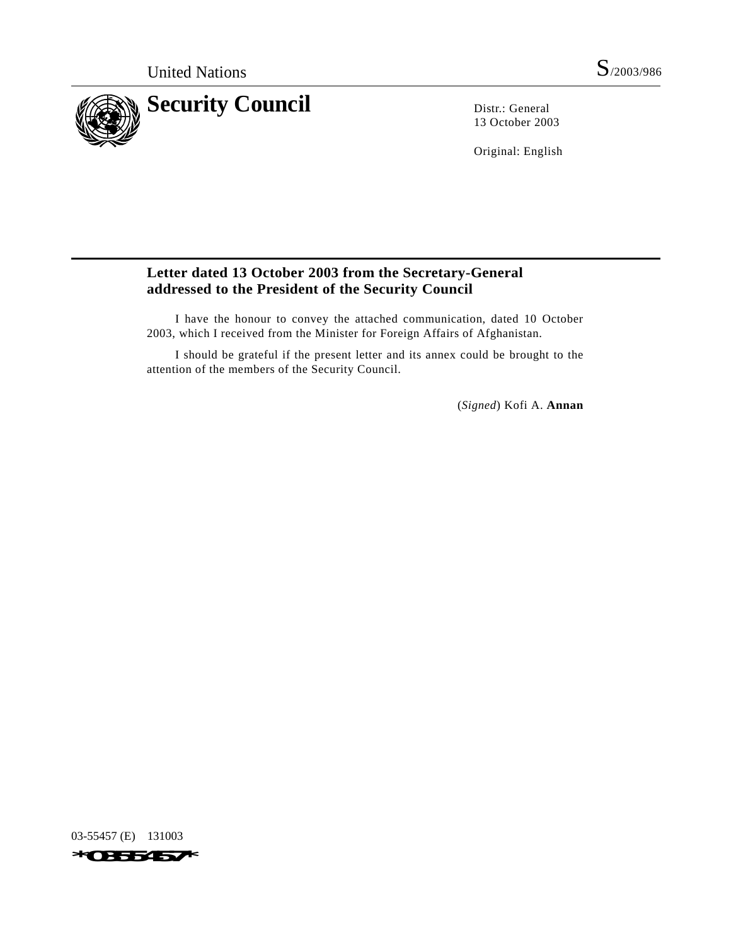

13 October 2003

Original: English

## **Letter dated 13 October 2003 from the Secretary-General addressed to the President of the Security Council**

I have the honour to convey the attached communication, dated 10 October 2003, which I received from the Minister for Foreign Affairs of Afghanistan.

I should be grateful if the present letter and its annex could be brought to the attention of the members of the Security Council.

(*Signed*) Kofi A. **Annan**